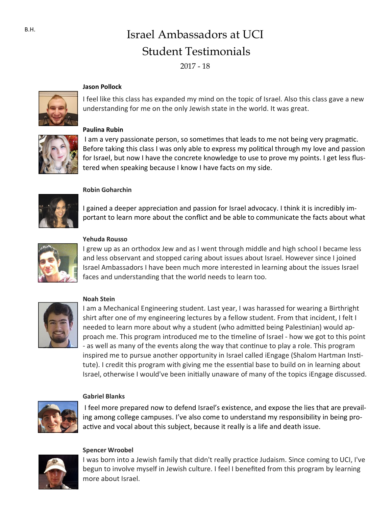# Israel Ambassadors at UCI Student Testimonials

2017 - 18

#### **Jason Pollock**



I feel like this class has expanded my mind on the topic of Israel. Also this class gave a new understanding for me on the only Jewish state in the world. It was great.



### **Paulina Rubin**

I am a very passionate person, so sometimes that leads to me not being very pragmatic. Before taking this class I was only able to express my political through my love and passion for Israel, but now I have the concrete knowledge to use to prove my points. I get less flustered when speaking because I know I have facts on my side.



# **Robin Goharchin**

I gained a deeper appreciation and passion for Israel advocacy. I think it is incredibly important to learn more about the conflict and be able to communicate the facts about what



#### **Yehuda Rousso**

I grew up as an orthodox Jew and as I went through middle and high school I became less and less observant and stopped caring about issues about Israel. However since I joined Israel Ambassadors I have been much more interested in learning about the issues Israel faces and understanding that the world needs to learn too.



#### **Noah Stein**

I am a Mechanical Engineering student. Last year, I was harassed for wearing a Birthright shirt after one of my engineering lectures by a fellow student. From that incident, I felt I needed to learn more about why a student (who admitted being Palestinian) would approach me. This program introduced me to the timeline of Israel - how we got to this point - as well as many of the events along the way that continue to play a role. This program inspired me to pursue another opportunity in Israel called iEngage (Shalom Hartman Institute). I credit this program with giving me the essential base to build on in learning about Israel, otherwise I would've been initially unaware of many of the topics iEngage discussed.

#### **Gabriel Blanks**

I feel more prepared now to defend Israel's existence, and expose the lies that are prevailing among college campuses. I've also come to understand my responsibility in being proactive and vocal about this subject, because it really is a life and death issue.



#### **Spencer Wroobel**

I was born into a Jewish family that didn't really practice Judaism. Since coming to UCI, I've begun to involve myself in Jewish culture. I feel I benefited from this program by learning more about Israel.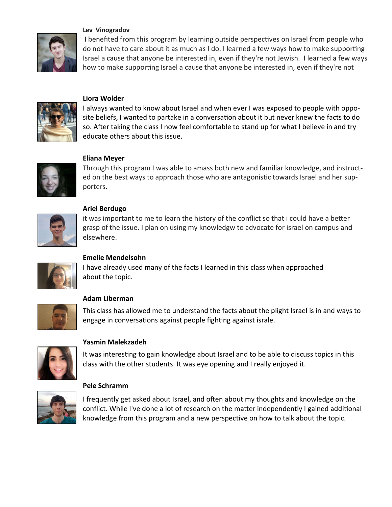

#### **Lev Vinogradov**

I benefited from this program by learning outside perspectives on Israel from people who do not have to care about it as much as I do. I learned a few ways how to make supporting Israel a cause that anyone be interested in, even if they're not Jewish. I learned a few ways how to make supporting Israel a cause that anyone be interested in, even if they're not



### **Liora Wolder**

I always wanted to know about Israel and when ever I was exposed to people with opposite beliefs, I wanted to partake in a conversation about it but never knew the facts to do so. After taking the class I now feel comfortable to stand up for what I believe in and try educate others about this issue.



### **Eliana Meyer**

Through this program I was able to amass both new and familiar knowledge, and instructed on the best ways to approach those who are antagonistic towards Israel and her supporters.



#### **Ariel Berdugo**

it was important to me to learn the history of the conflict so that i could have a better grasp of the issue. I plan on using my knowledgw to advocate for israel on campus and elsewhere.



# **Emelie Mendelsohn**

I have already used many of the facts I learned in this class when approached about the topic.



### **Adam Liberman**

This class has allowed me to understand the facts about the plight Israel is in and ways to engage in conversations against people fighting against israle.



### **Yasmin Malekzadeh**

It was interesting to gain knowledge about Israel and to be able to discuss topics in this class with the other students. It was eye opening and I really enjoyed it.

# **Pele Schramm**



I frequently get asked about Israel, and often about my thoughts and knowledge on the conflict. While I've done a lot of research on the matter independently I gained additional knowledge from this program and a new perspective on how to talk about the topic.